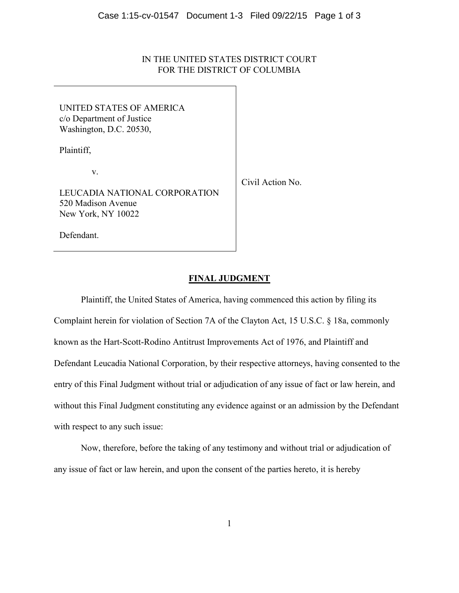# IN THE UNITED STATES DISTRICT COURT FOR THE DISTRICT OF COLUMBIA

UNITED STATES OF AMERICA c/o Department of Justice Washington, D.C. 20530,

Plaintiff,

v.

LEUCADIA NATIONAL CORPORATION 520 Madison Avenue New York, NY 10022

Civil Action No.

Defendant.

## **FINAL JUDGMENT**

Plaintiff, the United States of America, having commenced this action by filing its Complaint herein for violation of Section 7A of the Clayton Act, 15 U.S.C. § 18a, commonly known as the Hart-Scott-Rodino Antitrust Improvements Act of 1976, and Plaintiff and Defendant Leucadia National Corporation, by their respective attorneys, having consented to the entry of this Final Judgment without trial or adjudication of any issue of fact or law herein, and without this Final Judgment constituting any evidence against or an admission by the Defendant with respect to any such issue:

Now, therefore, before the taking of any testimony and without trial or adjudication of any issue of fact or law herein, and upon the consent of the parties hereto, it is hereby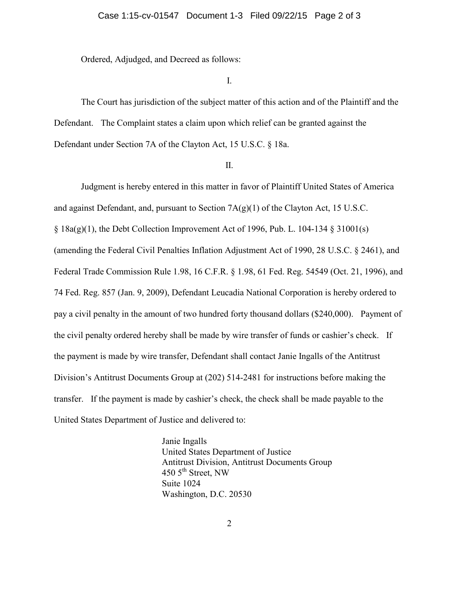Ordered, Adjudged, and Decreed as follows:

# I.

The Court has jurisdiction of the subject matter of this action and of the Plaintiff and the Defendant. The Complaint states a claim upon which relief can be granted against the Defendant under Section 7A of the Clayton Act, 15 U.S.C. § 18a.

#### II.

Judgment is hereby entered in this matter in favor of Plaintiff United States of America and against Defendant, and, pursuant to Section 7A(g)(1) of the Clayton Act, 15 U.S.C.  $\S$  18a(g)(1), the Debt Collection Improvement Act of 1996, Pub. L. 104-134  $\S$  31001(s) (amending the Federal Civil Penalties Inflation Adjustment Act of 1990, 28 U.S.C. § 2461), and Federal Trade Commission Rule 1.98, 16 C.F.R. § 1.98, 61 Fed. Reg. 54549 (Oct. 21, 1996), and 74 Fed. Reg. 857 (Jan. 9, 2009), Defendant Leucadia National Corporation is hereby ordered to pay a civil penalty in the amount of two hundred forty thousand dollars (\$240,000). Payment of the civil penalty ordered hereby shall be made by wire transfer of funds or cashier's check. If the payment is made by wire transfer, Defendant shall contact Janie Ingalls of the Antitrust Division's Antitrust Documents Group at (202) 514-2481 for instructions before making the transfer. If the payment is made by cashier's check, the check shall be made payable to the United States Department of Justice and delivered to:

> Janie Ingalls United States Department of Justice Antitrust Division, Antitrust Documents Group 450  $5<sup>th</sup>$  Street, NW Suite 1024 Washington, D.C. 20530